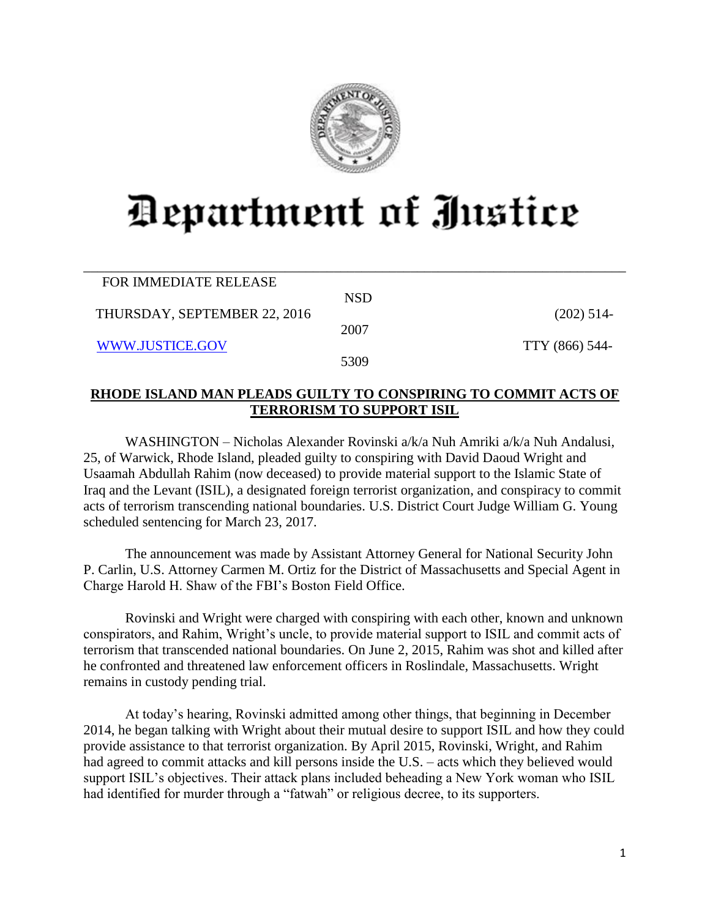

## Department of Justice

| FOR IMMEDIATE RELEASE        |            |                |
|------------------------------|------------|----------------|
|                              | <b>NSD</b> |                |
| THURSDAY, SEPTEMBER 22, 2016 |            | $(202)$ 514-   |
|                              | 2007       |                |
| WWW.JUSTICE.GOV              |            | TTY (866) 544- |
|                              | 5309       |                |

\_\_\_\_\_\_\_\_\_\_\_\_\_\_\_\_\_\_\_\_\_\_\_\_\_\_\_\_\_\_\_\_\_\_\_\_\_\_\_\_\_\_\_\_\_\_\_\_\_\_\_\_\_\_\_\_\_\_\_\_\_\_\_\_\_\_\_\_\_\_\_\_\_\_\_\_\_\_

## **RHODE ISLAND MAN PLEADS GUILTY TO CONSPIRING TO COMMIT ACTS OF TERRORISM TO SUPPORT ISIL**

WASHINGTON – Nicholas Alexander Rovinski a/k/a Nuh Amriki a/k/a Nuh Andalusi, 25, of Warwick, Rhode Island, pleaded guilty to conspiring with David Daoud Wright and Usaamah Abdullah Rahim (now deceased) to provide material support to the Islamic State of Iraq and the Levant (ISIL), a designated foreign terrorist organization, and conspiracy to commit acts of terrorism transcending national boundaries. U.S. District Court Judge William G. Young scheduled sentencing for March 23, 2017.

The announcement was made by Assistant Attorney General for National Security John P. Carlin, U.S. Attorney Carmen M. Ortiz for the District of Massachusetts and Special Agent in Charge Harold H. Shaw of the FBI's Boston Field Office.

Rovinski and Wright were charged with conspiring with each other, known and unknown conspirators, and Rahim, Wright's uncle, to provide material support to ISIL and commit acts of terrorism that transcended national boundaries. On June 2, 2015, Rahim was shot and killed after he confronted and threatened law enforcement officers in Roslindale, Massachusetts. Wright remains in custody pending trial.

At today's hearing, Rovinski admitted among other things, that beginning in December 2014, he began talking with Wright about their mutual desire to support ISIL and how they could provide assistance to that terrorist organization. By April 2015, Rovinski, Wright, and Rahim had agreed to commit attacks and kill persons inside the U.S. – acts which they believed would support ISIL's objectives. Their attack plans included beheading a New York woman who ISIL had identified for murder through a "fatwah" or religious decree, to its supporters.